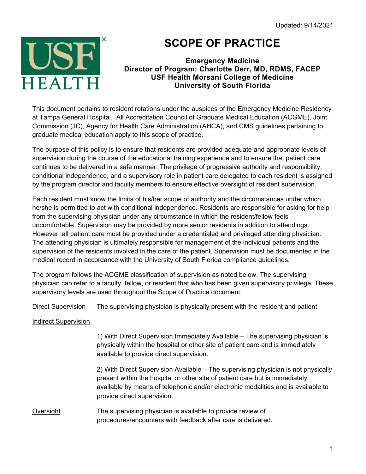

## **SCOPE OF PRACTICE**

## **Emergency Medicine Director of Program: Charlotte Derr, MD, RDMS, FACEP USF Health Morsani College of Medicine University of South Florida**

This document pertains to resident rotations under the auspices of the Emergency Medicine Residency at Tampa General Hospital. All Accreditation Council of Graduate Medical Education (ACGME), Joint Commission (JC), Agency for Health Care Administration (AHCA), and CMS guidelines pertaining to graduate medical education apply to this scope of practice.

The purpose of this policy is to ensure that residents are provided adequate and appropriate levels of supervision during the course of the educational training experience and to ensure that patient care continues to be delivered in a safe manner. The privilege of progressive authority and responsibility, conditional independence, and a supervisory role in patient care delegated to each resident is assigned by the program director and faculty members to ensure effective oversight of resident supervision.

Each resident must know the limits of his/her scope of authority and the circumstances under which he/she is permitted to act with conditional independence. Residents are responsible for asking for help from the supervising physician under any circumstance in which the resident/fellow feels uncomfortable. Supervision may be provided by more senior residents in addition to attendings. However, all patient care must be provided under a credentialed and privileged attending physician. The attending physician is ultimately responsible for management of the individual patients and the supervision of the residents involved in the care of the patient. Supervision must be documented in the medical record in accordance with the University of South Florida compliance guidelines.

The program follows the ACGME classification of supervision as noted below. The supervising physician can refer to a faculty, fellow, or resident that who has been given supervisory privilege. These supervisory levels are used throughout the Scope of Practice document.

Direct Supervision The supervising physician is physically present with the resident and patient.

## Indirect Supervision

1) With Direct Supervision Immediately Available – The supervising physician is physically within the hospital or other site of patient care and is immediately available to provide direct supervision.

2) With Direct Supervision Available – The supervising physician is not physically present within the hospital or other site of patient care but is immediately available by means of telephonic and/or electronic modalities and is available to provide direct supervision.

Oversight The supervising physician is available to provide review of procedures/encounters with feedback after care is delivered.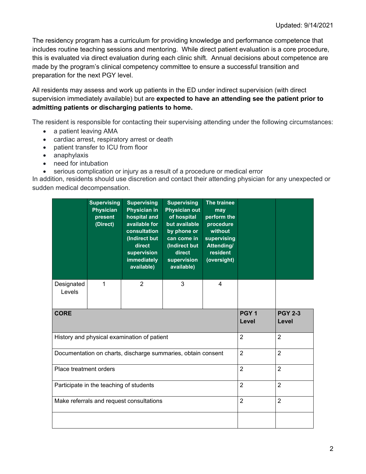The residency program has a curriculum for providing knowledge and performance competence that includes routine teaching sessions and mentoring. While direct patient evaluation is a core procedure, this is evaluated via direct evaluation during each clinic shift. Annual decisions about competence are made by the program's clinical competency committee to ensure a successful transition and preparation for the next PGY level.

All residents may assess and work up patients in the ED under indirect supervision (with direct supervision immediately available) but are **expected to have an attending see the patient prior to admitting patients or discharging patients to home.**

The resident is responsible for contacting their supervising attending under the following circumstances:

- a patient leaving AMA
- cardiac arrest, respiratory arrest or death
- patient transfer to ICU from floor
- anaphylaxis
- need for intubation
- serious complication or injury as a result of a procedure or medical error

In addition, residents should use discretion and contact their attending physician for any unexpected or sudden medical decompensation.

|                                                              | <b>Supervising</b><br><b>Physician</b><br>present<br>(Direct) | <b>Supervising</b><br><b>Physician in</b><br>hospital and<br>available for<br>consultation<br>(Indirect but<br>direct<br>supervision<br><b>immediately</b><br>available) | <b>Supervising</b><br><b>Physician out</b><br>of hospital<br>but available<br>by phone or<br>can come in<br>(Indirect but<br>direct<br>supervision<br>available) | The trainee<br>may<br>perform the<br>procedure<br>without<br>supervising<br>Attending/<br>resident<br>(oversight) |                           |                         |
|--------------------------------------------------------------|---------------------------------------------------------------|--------------------------------------------------------------------------------------------------------------------------------------------------------------------------|------------------------------------------------------------------------------------------------------------------------------------------------------------------|-------------------------------------------------------------------------------------------------------------------|---------------------------|-------------------------|
| Designated<br>Levels                                         | 1                                                             | 2                                                                                                                                                                        | 3                                                                                                                                                                | 4                                                                                                                 |                           |                         |
| <b>CORE</b>                                                  |                                                               |                                                                                                                                                                          |                                                                                                                                                                  |                                                                                                                   | PGY <sub>1</sub><br>Level | <b>PGY 2-3</b><br>Level |
| History and physical examination of patient                  |                                                               |                                                                                                                                                                          |                                                                                                                                                                  |                                                                                                                   | $\overline{2}$            | $\overline{2}$          |
| Documentation on charts, discharge summaries, obtain consent |                                                               |                                                                                                                                                                          |                                                                                                                                                                  |                                                                                                                   | 2                         | $\overline{2}$          |
| Place treatment orders                                       |                                                               |                                                                                                                                                                          |                                                                                                                                                                  |                                                                                                                   | $\overline{2}$            | $\overline{2}$          |
| Participate in the teaching of students                      |                                                               |                                                                                                                                                                          |                                                                                                                                                                  |                                                                                                                   | $\overline{2}$            | $\overline{2}$          |
| Make referrals and request consultations                     |                                                               |                                                                                                                                                                          |                                                                                                                                                                  |                                                                                                                   | $\overline{2}$            | $\overline{2}$          |
|                                                              |                                                               |                                                                                                                                                                          |                                                                                                                                                                  |                                                                                                                   |                           |                         |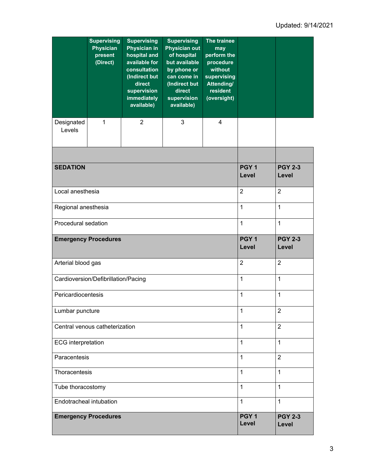|                                     | <b>Supervising</b><br><b>Physician</b><br>present<br>(Direct) | <b>Supervising</b><br><b>Physician in</b><br>hospital and<br>available for<br>consultation<br>(Indirect but<br>direct<br>supervision<br><b>immediately</b><br>available) | <b>Supervising</b><br><b>Physician out</b><br>of hospital<br>but available<br>by phone or<br>can come in<br>(Indirect but<br>direct<br>supervision<br>available) | The trainee<br>may<br>perform the<br>procedure<br>without<br>supervising<br>Attending/<br>resident<br>(oversight) |                           |                         |
|-------------------------------------|---------------------------------------------------------------|--------------------------------------------------------------------------------------------------------------------------------------------------------------------------|------------------------------------------------------------------------------------------------------------------------------------------------------------------|-------------------------------------------------------------------------------------------------------------------|---------------------------|-------------------------|
| Designated<br>Levels                | $\mathbf{1}$                                                  | 2                                                                                                                                                                        | 3                                                                                                                                                                | $\overline{4}$                                                                                                    |                           |                         |
|                                     |                                                               |                                                                                                                                                                          |                                                                                                                                                                  |                                                                                                                   |                           |                         |
| <b>SEDATION</b>                     |                                                               |                                                                                                                                                                          |                                                                                                                                                                  |                                                                                                                   | PGY <sub>1</sub><br>Level | <b>PGY 2-3</b><br>Level |
| Local anesthesia                    |                                                               |                                                                                                                                                                          |                                                                                                                                                                  |                                                                                                                   | $\overline{2}$            | $\overline{2}$          |
| Regional anesthesia                 |                                                               |                                                                                                                                                                          |                                                                                                                                                                  |                                                                                                                   | 1                         | 1                       |
| Procedural sedation                 |                                                               |                                                                                                                                                                          |                                                                                                                                                                  |                                                                                                                   | $\mathbf{1}$              | $\mathbf{1}$            |
| <b>Emergency Procedures</b>         |                                                               |                                                                                                                                                                          |                                                                                                                                                                  |                                                                                                                   | PGY <sub>1</sub><br>Level | <b>PGY 2-3</b><br>Level |
| Arterial blood gas                  |                                                               |                                                                                                                                                                          |                                                                                                                                                                  |                                                                                                                   | $\overline{2}$            | $\overline{2}$          |
| Cardioversion/Defibrillation/Pacing |                                                               |                                                                                                                                                                          |                                                                                                                                                                  |                                                                                                                   | 1                         | 1                       |
| Pericardiocentesis                  |                                                               |                                                                                                                                                                          |                                                                                                                                                                  |                                                                                                                   | $\mathbf{1}$              | 1                       |
| Lumbar puncture                     |                                                               |                                                                                                                                                                          |                                                                                                                                                                  |                                                                                                                   | 1                         | $\overline{2}$          |
| Central venous catheterization      |                                                               |                                                                                                                                                                          |                                                                                                                                                                  |                                                                                                                   | $\mathbf{1}$              | $\overline{2}$          |
| <b>ECG</b> interpretation           |                                                               |                                                                                                                                                                          |                                                                                                                                                                  |                                                                                                                   | 1                         | 1                       |
| Paracentesis                        |                                                               |                                                                                                                                                                          |                                                                                                                                                                  |                                                                                                                   | 1                         | $\overline{2}$          |
| Thoracentesis                       |                                                               |                                                                                                                                                                          |                                                                                                                                                                  |                                                                                                                   | 1                         | 1                       |
| Tube thoracostomy                   |                                                               |                                                                                                                                                                          |                                                                                                                                                                  |                                                                                                                   | $\mathbf{1}$              | $\mathbf{1}$            |
| Endotracheal intubation             |                                                               |                                                                                                                                                                          |                                                                                                                                                                  |                                                                                                                   | $\mathbf{1}$              | 1                       |
|                                     | <b>Emergency Procedures</b>                                   |                                                                                                                                                                          |                                                                                                                                                                  |                                                                                                                   | PGY <sub>1</sub><br>Level | <b>PGY 2-3</b><br>Level |